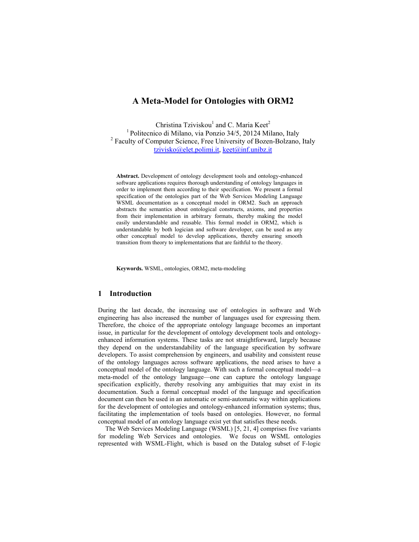# **A Meta-Model for Ontologies with ORM2**

Christina Tziviskou<sup>1</sup> and C. Maria Keet<sup>2</sup> 1 Politecnico di Milano, via Ponzio 34/5, 20124 Milano, Italy 2 <sup>2</sup> Faculty of Computer Science, Free University of Bozen-Bolzano, Italy tzivisko@elet.polimi.it, keet@inf.unibz.it

**Abstract.** Development of ontology development tools and ontology-enhanced software applications requires thorough understanding of ontology languages in order to implement them according to their specification. We present a formal specification of the ontologies part of the Web Services Modeling Language WSML documentation as a conceptual model in ORM2. Such an approach abstracts the semantics about ontological constructs, axioms, and properties from their implementation in arbitrary formats, thereby making the model easily understandable and reusable. This formal model in ORM2, which is understandable by both logician and software developer, can be used as any other conceptual model to develop applications, thereby ensuring smooth transition from theory to implementations that are faithful to the theory.

**Keywords.** WSML, ontologies, ORM2, meta-modeling

## **1 Introduction**

During the last decade, the increasing use of ontologies in software and Web engineering has also increased the number of languages used for expressing them. Therefore, the choice of the appropriate ontology language becomes an important issue, in particular for the development of ontology development tools and ontologyenhanced information systems. These tasks are not straightforward, largely because they depend on the understandability of the language specification by software developers. To assist comprehension by engineers, and usability and consistent reuse of the ontology languages across software applications, the need arises to have a conceptual model of the ontology language. With such a formal conceptual model—a meta-model of the ontology language—one can capture the ontology language specification explicitly, thereby resolving any ambiguities that may exist in its documentation. Such a formal conceptual model of the language and specification document can then be used in an automatic or semi-automatic way within applications for the development of ontologies and ontology-enhanced information systems; thus, facilitating the implementation of tools based on ontologies. However, no formal conceptual model of an ontology language exist yet that satisfies these needs.

The Web Services Modeling Language (WSML) [5, 21, 4] comprises five variants for modeling Web Services and ontologies. We focus on WSML ontologies represented with WSML-Flight, which is based on the Datalog subset of F-logic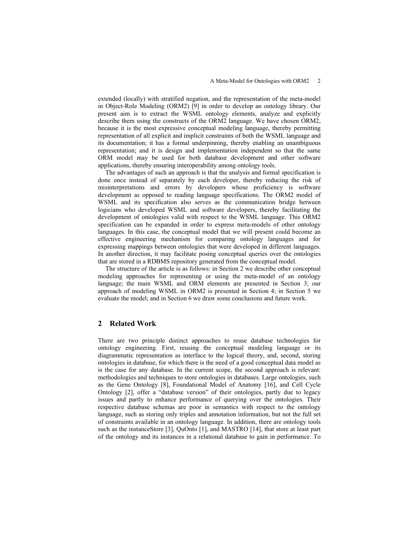extended (locally) with stratified negation, and the representation of the meta-model in Object-Role Modeling (ORM2) [9] in order to develop an ontology library. Our present aim is to extract the WSML ontology elements, analyze and explicitly describe them using the constructs of the ORM2 language. We have chosen ORM2, because it is the most expressive conceptual modeling language, thereby permitting representation of all explicit and implicit constraints of both the WSML language and its documentation; it has a formal underpinning, thereby enabling an unambiguous representation; and it is design and implementation independent so that the same ORM model may be used for both database development and other software applications, thereby ensuring interoperability among ontology tools.

The advantages of such an approach is that the analysis and formal specification is done once instead of separately by each developer, thereby reducing the risk of misinterpretations and errors by developers whose proficiency is software development as opposed to reading language specifications. The ORM2 model of WSML and its specification also serves as the communication bridge between logicians who developed WSML and software developers, thereby facilitating the development of ontologies valid with respect to the WSML language. This ORM2 specification can be expanded in order to express meta-models of other ontology languages. In this case, the conceptual model that we will present could become an effective engineering mechanism for comparing ontology languages and for expressing mappings between ontologies that were developed in different languages. In another direction, it may facilitate posing conceptual queries over the ontologies that are stored in a RDBMS repository generated from the conceptual model.

The structure of the article is as follows: in Section 2 we describe other conceptual modeling approaches for representing or using the meta-model of an ontology language; the main WSML and ORM elements are presented in Section 3; our approach of modeling WSML in ORM2 is presented in Section 4; in Section 5 we evaluate the model; and in Section 6 we draw some conclusions and future work.

## **2 Related Work**

There are two principle distinct approaches to reuse database technologies for ontology engineering. First, reusing the conceptual modeling language or its diagrammatic representation as interface to the logical theory, and, second, storing ontologies in database, for which there is the need of a good conceptual data model as is the case for any database. In the current scope, the second approach is relevant: methodologies and techniques to store ontologies in databases. Large ontologies, such as the Gene Ontology [8], Foundational Model of Anatomy [16], and Cell Cycle Ontology [2], offer a "database version" of their ontologies, partly due to legacy issues and partly to enhance performance of querying over the ontologies. Their respective database schemas are poor in semantics with respect to the ontology language, such as storing only triples and annotation information, but not the full set of constraints available in an ontology language. In addition, there are ontology tools such as the instanceStore [3], QuOnto [1], and MASTRO [14], that store at least part of the ontology and its instances in a relational database to gain in performance. To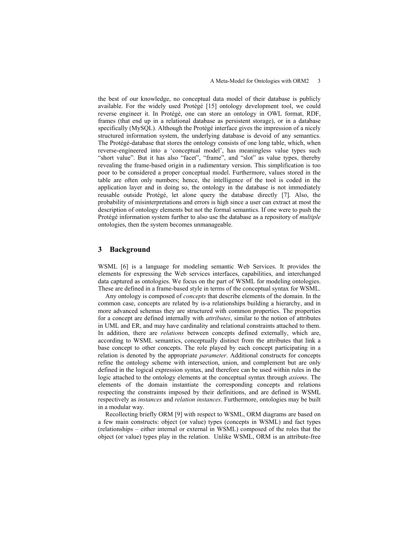the best of our knowledge, no conceptual data model of their database is publicly available. For the widely used Protégé [15] ontology development tool, we could reverse engineer it. In Protégé, one can store an ontology in OWL format, RDF, frames (that end up in a relational database as persistent storage), or in a database specifically (MySQL). Although the Protégé interface gives the impression of a nicely structured information system, the underlying database is devoid of any semantics. The Protégé-database that stores the ontology consists of one long table, which, when reverse-engineered into a 'conceptual model', has meaningless value types such "short value". But it has also "facet", "frame", and "slot" as value types, thereby revealing the frame-based origin in a rudimentary version. This simplification is too poor to be considered a proper conceptual model. Furthermore, values stored in the table are often only numbers; hence, the intelligence of the tool is coded in the application layer and in doing so, the ontology in the database is not immediately reusable outside Protégé, let alone query the database directly [7]. Also, the probability of misinterpretations and errors is high since a user can extract at most the description of ontology elements but not the formal semantics. If one were to push the Protégé information system further to also use the database as a repository of *multiple* ontologies, then the system becomes unmanageable.

### **3 Background**

WSML [6] is a language for modeling semantic Web Services. It provides the elements for expressing the Web services interfaces, capabilities, and interchanged data captured as ontologies. We focus on the part of WSML for modeling ontologies. These are defined in a frame-based style in terms of the conceptual syntax for WSML.

Any ontology is composed of *concepts* that describe elements of the domain. In the common case, concepts are related by is-a relationships building a hierarchy, and in more advanced schemas they are structured with common properties. The properties for a concept are defined internally with *attributes*, similar to the notion of attributes in UML and ER, and may have cardinality and relational constraints attached to them. In addition, there are *relations* between concepts defined externally, which are, according to WSML semantics, conceptually distinct from the attributes that link a base concept to other concepts. The role played by each concept participating in a relation is denoted by the appropriate *parameter*. Additional constructs for concepts refine the ontology scheme with intersection, union, and complement but are only defined in the logical expression syntax, and therefore can be used within rules in the logic attached to the ontology elements at the conceptual syntax through *axioms*. The elements of the domain instantiate the corresponding concepts and relations respecting the constraints imposed by their definitions, and are defined in WSML respectively as *instances* and *relation instances*. Furthermore, ontologies may be built in a modular way.

Recollecting briefly ORM [9] with respect to WSML, ORM diagrams are based on a few main constructs: object (or value) types (concepts in WSML) and fact types (relationships – either internal or external in WSML) composed of the roles that the object (or value) types play in the relation. Unlike WSML, ORM is an attribute-free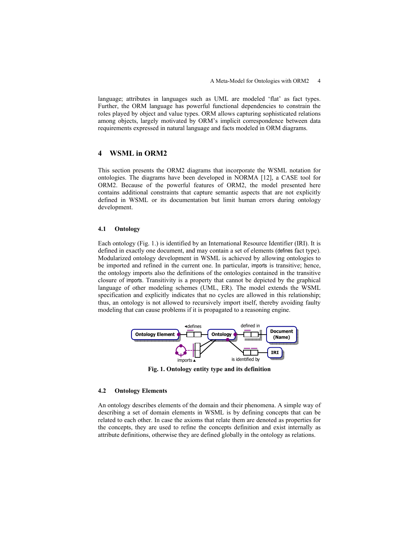language; attributes in languages such as UML are modeled 'flat' as fact types. Further, the ORM language has powerful functional dependencies to constrain the roles played by object and value types. ORM allows capturing sophisticated relations among objects, largely motivated by ORM's implicit correspondence between data requirements expressed in natural language and facts modeled in ORM diagrams.

### **4 WSML in ORM2**

This section presents the ORM2 diagrams that incorporate the WSML notation for ontologies. The diagrams have been developed in NORMA [12], a CASE tool for ORM2. Because of the powerful features of ORM2, the model presented here contains additional constraints that capture semantic aspects that are not explicitly defined in WSML or its documentation but limit human errors during ontology development.

#### **4.1 Ontology**

Each ontology (Fig. 1.) is identified by an International Resource Identifier (IRI). It is defined in exactly one document, and may contain a set of elements (defines fact type). Modularized ontology development in WSML is achieved by allowing ontologies to be imported and refined in the current one. In particular, imports is transitive; hence, the ontology imports also the definitions of the ontologies contained in the transitive closure of imports. Transitivity is a property that cannot be depicted by the graphical language of other modeling schemes (UML, ER). The model extends the WSML specification and explicitly indicates that no cycles are allowed in this relationship; thus, an ontology is not allowed to recursively import itself, thereby avoiding faulty modeling that can cause problems if it is propagated to a reasoning engine.



**Fig. 1. Ontology entity type and its definition** 

#### **4.2 Ontology Elements**

An ontology describes elements of the domain and their phenomena. A simple way of describing a set of domain elements in WSML is by defining concepts that can be related to each other. In case the axioms that relate them are denoted as properties for the concepts, they are used to refine the concepts definition and exist internally as attribute definitions, otherwise they are defined globally in the ontology as relations.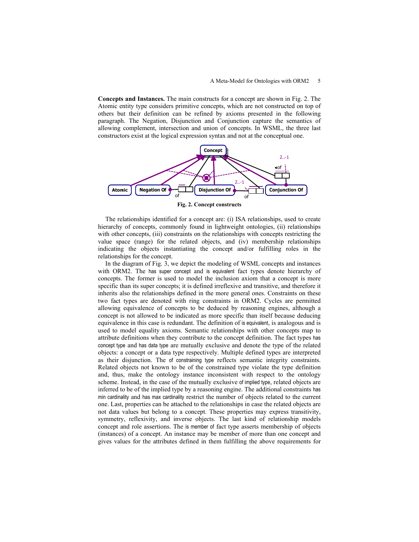**Concepts and Instances.** The main constructs for a concept are shown in Fig. 2. The Atomic entity type considers primitive concepts, which are not constructed on top of others but their definition can be refined by axioms presented in the following paragraph. The Negation, Disjunction and Conjunction capture the semantics of allowing complement, intersection and union of concepts. In WSML, the three last constructors exist at the logical expression syntax and not at the conceptual one.



**Fig. 2. Concept constructs**

The relationships identified for a concept are: (i) ISA relationships, used to create hierarchy of concepts, commonly found in lightweight ontologies, (ii) relationships with other concepts, (iii) constraints on the relationships with concepts restricting the value space (range) for the related objects, and (iv) membership relationships indicating the objects instantiating the concept and/or fulfilling roles in the relationships for the concept.

In the diagram of Fig. 3, we depict the modeling of WSML concepts and instances with ORM2. The has super concept and is equivalent fact types denote hierarchy of concepts. The former is used to model the inclusion axiom that a concept is more specific than its super concepts; it is defined irreflexive and transitive, and therefore it inherits also the relationships defined in the more general ones. Constraints on these two fact types are denoted with ring constraints in ORM2. Cycles are permitted allowing equivalence of concepts to be deduced by reasoning engines, although a concept is not allowed to be indicated as more specific than itself because deducing equivalence in this case is redundant. The definition of is equivalent, is analogous and is used to model equality axioms. Semantic relationships with other concepts map to attribute definitions when they contribute to the concept definition. The fact types has concept type and has data type are mutually exclusive and denote the type of the related objects: a concept or a data type respectively. Multiple defined types are interpreted as their disjunction. The of constraining type reflects semantic integrity constraints. Related objects not known to be of the constrained type violate the type definition and, thus, make the ontology instance inconsistent with respect to the ontology scheme. Instead, in the case of the mutually exclusive of implied type, related objects are inferred to be of the implied type by a reasoning engine. The additional constraints has min cardinality and has max cardinality restrict the number of objects related to the current one. Last, properties can be attached to the relationships in case the related objects are not data values but belong to a concept. These properties may express transitivity, symmetry, reflexivity, and inverse objects. The last kind of relationship models concept and role assertions. The is member of fact type asserts membership of objects (instances) of a concept. An instance may be member of more than one concept and gives values for the attributes defined in them fulfilling the above requirements for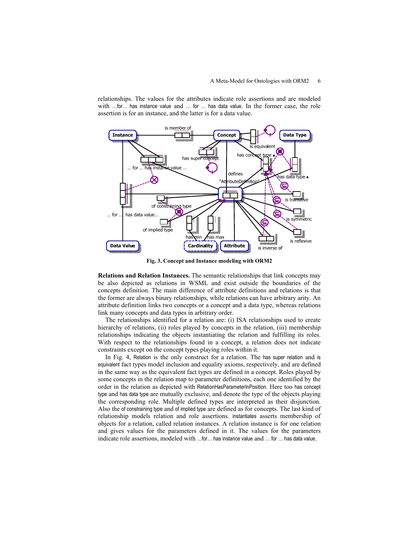relationships. The values for the attributes indicate role assertions and are modeled with ...for... has instance value and ... for ... has data value. In the former case, the role assertion is for an instance, and the latter is for a data value.



**Fig. 3. Concept and Instance modeling with ORM2**

**Relations and Relation Instances.** The semantic relationships that link concepts may be also depicted as relations in WSML and exist outside the boundaries of the concepts definition. The main difference of attribute definitions and relations is that the former are always binary relationships, while relations can have arbitrary arity. An attribute definition links two concepts or a concept and a data type, whereas relations link many concepts and data types in arbitrary order.

The relationships identified for a relation are: (i) ISA relationships used to create hierarchy of relations, (ii) roles played by concepts in the relation, (iii) membership relationships indicating the objects instantiating the relation and fulfilling its roles. With respect to the relationships found in a concept, a relation does not indicate constraints except on the concept types playing roles within it.

In Fig. 4, Relation is the only construct for a relation. The has super relation and is equivalent fact types model inclusion and equality axioms, respectively, and are defined in the same way as the equivalent fact types are defined in a concept. Roles played by some concepts in the relation map to parameter definitions, each one identified by the order in the relation as depicted with RelationHasParameterInPosition. Here too has concept type and has data type are mutually exclusive, and denote the type of the objects playing the corresponding role. Multiple defined types are interpreted as their disjunction. Also the of constraining type and of implied type are defined as for concepts. The last kind of relationship models relation and role assertions. instantiates asserts membership of objects for a relation, called relation instances. A relation instance is for one relation and gives values for the parameters defined in it. The values for the parameters indicate role assertions, modeled with …for… has instance value and … for … has data value.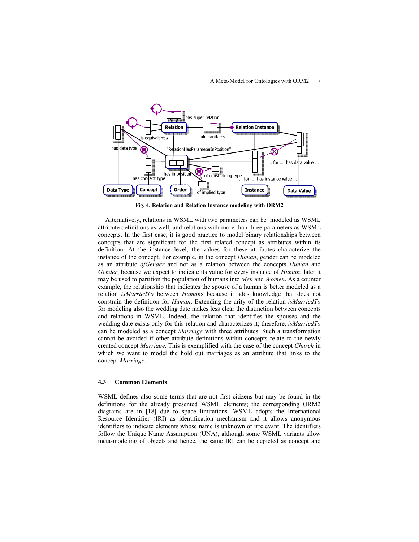

**Fig. 4. Relation and Relation Instance modeling with ORM2** 

Alternatively, relations in WSML with two parameters can be modeled as WSML attribute definitions as well, and relations with more than three parameters as WSML concepts. In the first case, it is good practice to model binary relationships between concepts that are significant for the first related concept as attributes within its definition. At the instance level, the values for these attributes characterize the instance of the concept. For example, in the concept *Human*, gender can be modeled as an attribute *ofGender* and not as a relation between the concepts *Human* and *Gender*, because we expect to indicate its value for every instance of *Human*; later it may be used to partition the population of humans into *Men* and *Women*. As a counter example, the relationship that indicates the spouse of a human is better modeled as a relation *isMarriedTo* between *Human*s because it adds knowledge that does not constrain the definition for *Human*. Extending the arity of the relation *isMarriedTo* for modeling also the wedding date makes less clear the distinction between concepts and relations in WSML. Indeed, the relation that identifies the spouses and the wedding date exists only for this relation and characterizes it; therefore, *isMarriedTo* can be modeled as a concept *Marriage* with three attributes. Such a transformation cannot be avoided if other attribute definitions within concepts relate to the newly created concept *Marriage*. This is exemplified with the case of the concept *Church* in which we want to model the hold out marriages as an attribute that links to the concept *Marriage*.

#### **4.3 Common Elements**

WSML defines also some terms that are not first citizens but may be found in the definitions for the already presented WSML elements; the corresponding ORM2 diagrams are in [18] due to space limitations. WSML adopts the International Resource Identifier (IRI) as identification mechanism and it allows anonymous identifiers to indicate elements whose name is unknown or irrelevant. The identifiers follow the Unique Name Assumption (UNA), although some WSML variants allow meta-modeling of objects and hence, the same IRI can be depicted as concept and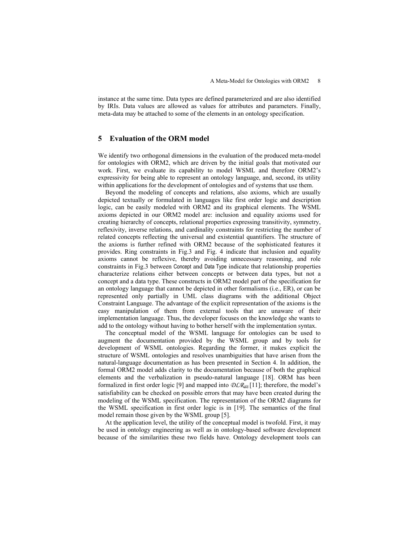instance at the same time. Data types are defined parameterized and are also identified by IRIs. Data values are allowed as values for attributes and parameters. Finally, meta-data may be attached to some of the elements in an ontology specification.

## **5 Evaluation of the ORM model**

We identify two orthogonal dimensions in the evaluation of the produced meta-model for ontologies with ORM2, which are driven by the initial goals that motivated our work. First, we evaluate its capability to model WSML and therefore ORM2's expressivity for being able to represent an ontology language, and, second, its utility within applications for the development of ontologies and of systems that use them.

Beyond the modeling of concepts and relations, also axioms, which are usually depicted textually or formulated in languages like first order logic and description logic, can be easily modeled with ORM2 and its graphical elements. The WSML axioms depicted in our ORM2 model are: inclusion and equality axioms used for creating hierarchy of concepts, relational properties expressing transitivity, symmetry, reflexivity, inverse relations, and cardinality constraints for restricting the number of related concepts reflecting the universal and existential quantifiers. The structure of the axioms is further refined with ORM2 because of the sophisticated features it provides. Ring constraints in Fig.3 and Fig. 4 indicate that inclusion and equality axioms cannot be reflexive, thereby avoiding unnecessary reasoning, and role constraints in Fig.3 between Concept and Data Type indicate that relationship properties characterize relations either between concepts or between data types, but not a concept and a data type. These constructs in ORM2 model part of the specification for an ontology language that cannot be depicted in other formalisms (i.e., ER), or can be represented only partially in UML class diagrams with the additional Object Constraint Language. The advantage of the explicit representation of the axioms is the easy manipulation of them from external tools that are unaware of their implementation language. Thus, the developer focuses on the knowledge she wants to add to the ontology without having to bother herself with the implementation syntax.

The conceptual model of the WSML language for ontologies can be used to augment the documentation provided by the WSML group and by tools for development of WSML ontologies. Regarding the former, it makes explicit the structure of WSML ontologies and resolves unambiguities that have arisen from the natural-language documentation as has been presented in Section 4. In addition, the formal ORM2 model adds clarity to the documentation because of both the graphical elements and the verbalization in pseudo-natural language [18]. ORM has been formalized in first order logic [9] and mapped into  $\mathcal{DLR}_{tid}$  [11]; therefore, the model's satisfiability can be checked on possible errors that may have been created during the modeling of the WSML specification. The representation of the ORM2 diagrams for the WSML specification in first order logic is in [19]. The semantics of the final model remain those given by the WSML group [5].

At the application level, the utility of the conceptual model is twofold. First, it may be used in ontology engineering as well as in ontology-based software development because of the similarities these two fields have. Ontology development tools can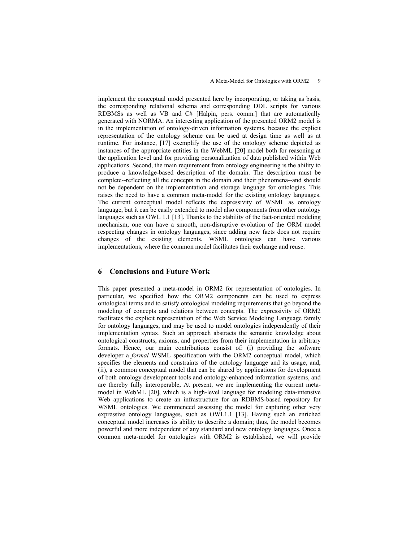implement the conceptual model presented here by incorporating, or taking as basis, the corresponding relational schema and corresponding DDL scripts for various RDBMSs as well as VB and C# [Halpin, pers. comm.] that are automatically generated with NORMA. An interesting application of the presented ORM2 model is in the implementation of ontology-driven information systems, because the explicit representation of the ontology scheme can be used at design time as well as at runtime. For instance, [17] exemplify the use of the ontology scheme depicted as instances of the appropriate entities in the WebML [20] model both for reasoning at the application level and for providing personalization of data published within Web applications. Second, the main requirement from ontology engineering is the ability to produce a knowledge-based description of the domain. The description must be complete--reflecting all the concepts in the domain and their phenomena--and should not be dependent on the implementation and storage language for ontologies. This raises the need to have a common meta-model for the existing ontology languages. The current conceptual model reflects the expressivity of WSML as ontology language, but it can be easily extended to model also components from other ontology languages such as OWL 1.1 [13]. Thanks to the stability of the fact-oriented modeling mechanism, one can have a smooth, non-disruptive evolution of the ORM model respecting changes in ontology languages, since adding new facts does not require changes of the existing elements. WSML ontologies can have various implementations, where the common model facilitates their exchange and reuse.

## **6 Conclusions and Future Work**

This paper presented a meta-model in ORM2 for representation of ontologies. In particular, we specified how the ORM2 components can be used to express ontological terms and to satisfy ontological modeling requirements that go beyond the modeling of concepts and relations between concepts. The expressivity of ORM2 facilitates the explicit representation of the Web Service Modeling Language family for ontology languages, and may be used to model ontologies independently of their implementation syntax. Such an approach abstracts the semantic knowledge about ontological constructs, axioms, and properties from their implementation in arbitrary formats. Hence, our main contributions consist of: (i) providing the software developer a *formal* WSML specification with the ORM2 conceptual model, which specifies the elements and constraints of the ontology language and its usage, and, (ii), a common conceptual model that can be shared by applications for development of both ontology development tools and ontology-enhanced information systems, and are thereby fully interoperable, At present, we are implementing the current metamodel in WebML [20], which is a high-level language for modeling data-intensive Web applications to create an infrastructure for an RDBMS-based repository for WSML ontologies. We commenced assessing the model for capturing other very expressive ontology languages, such as OWL1.1 [13]. Having such an enriched conceptual model increases its ability to describe a domain; thus, the model becomes powerful and more independent of any standard and new ontology languages. Once a common meta-model for ontologies with ORM2 is established, we will provide